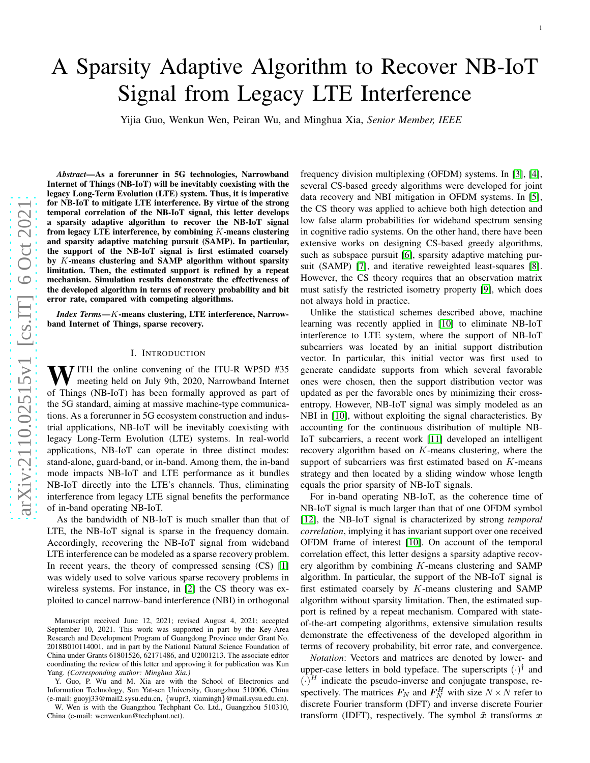# A Sparsity Adaptive Algorithm to Recover NB-IoT Signal from Legacy LTE Interference

Yijia Guo, Wenkun Wen, Peiran Wu, and Minghua Xia, *Senior Member, IEEE*

*Abstract*—As a forerunner in 5G technologies, Narrowband Internet of Things (NB-IoT) will be inevitably coexisting with the legacy Long-Term Evolution (LTE) system. Thus, it is imperative for NB-IoT to mitigate LTE interference. By virtue of the strong temporal correlation of the NB-IoT signal, this letter develops a sparsity adaptive algorithm to recover the NB-IoT signal from legacy LTE interference, by combining  $K$ -means clustering and sparsity adaptive matching pursuit (SAMP). In particular, the support of the NB-IoT signal is first estimated coarsely by K-means clustering and SAMP algorithm without sparsity limitation. Then, the estimated support is refined by a repea t mechanism. Simulation results demonstrate the effectiveness of the developed algorithm in terms of recovery probability and bit error rate, compared with competing algorithms.

*Index Terms* — K-means clustering, LTE interference, Narrowband Internet of Things, sparse recovery.

#### I. INTRODUCTION

WITH the online convening of the ITU-R WP5D #35 meeting held on July 9th, 2020, Narrowband Internet of Things (NB-IoT) has been formally approved as part of the 5G standard, aiming at massive machine-type communications. As a forerunner in 5G ecosystem construction and industrial applications, NB-IoT will be inevitably coexisting with legacy Long-Term Evolution (LTE) systems. In real-world applications, NB-IoT can operate in three distinct modes: stand-alone, guard-band, or in-band. Among them, the in-band mode impacts NB-IoT and LTE performance as it bundles NB-IoT directly into the LTE's channels. Thus, eliminating interference from legacy LTE signal benefits the performanc e of in-band operating NB-IoT.

As the bandwidth of NB-IoT is much smaller than that of LTE, the NB-IoT signal is sparse in the frequency domain. Accordingly, recovering the NB-IoT signal from wideband LTE interference can be modeled as a sparse recovery problem . In recent years, the theory of compressed sensing (CS) [\[1\]](#page-4-0) was widely used to solve various sparse recovery problems in wireless systems. For instance, in [\[2\]](#page-4-1) the CS theory was exploited to cancel narrow-band interference (NBI) in orthogonal

Y. Guo, P. Wu and M. Xia are with the School of Electronics and Information Technology, Sun Yat-sen University, Guangzhou 510006, China (e-mail: guoyj33@mail2.sysu.edu.cn, {wupr3, xiamingh }@mail.sysu.edu.cn).

W. Wen is with the Guangzhou Techphant Co. Ltd., Guangzhou 510310, China (e-mail: wenwenkun@techphant.net).

frequency division multiplexing (OFDM) systems. In [\[3\]](#page-4-2), [\[4\]](#page-4-3), several CS-based greedy algorithms were developed for join t data recovery and NBI mitigation in OFDM systems. In [\[5\]](#page-4-4), the CS theory was applied to achieve both high detection and low false alarm probabilities for wideband spectrum sensin g in cognitive radio systems. On the other hand, there have bee n extensive works on designing CS-based greedy algorithms, such as subspace pursuit [\[6\]](#page-4-5), sparsity adaptive matching pursuit (SAMP) [\[7\]](#page-4-6), and iterative reweighted least-squares [\[8\]](#page-4-7). However, the CS theory requires that an observation matrix must satisfy the restricted isometry property [\[9\]](#page-4-8), which does not always hold in practice.

Unlike the statistical schemes described above, machine learning was recently applied in [\[10\]](#page-4-9) to eliminate NB-IoT interference to LTE system, where the support of NB-IoT subcarriers was located by an initial support distribution vector. In particular, this initial vector was first used to generate candidate supports from which several favorable ones were chosen, then the support distribution vector was updated as per the favorable ones by minimizing their crossentropy. However, NB-IoT signal was simply modeled as an NBI in [\[10\]](#page-4-9), without exploiting the signal characteristics. By accounting for the continuous distribution of multiple NB-IoT subcarriers, a recent work [\[11\]](#page-4-10) developed an intelligent recovery algorithm based on K-means clustering, where the support of subcarriers was first estimated based on  $K$ -means strategy and then located by a sliding window whose length equals the prior sparsity of NB-IoT signals.

For in-band operating NB-IoT, as the coherence time of NB-IoT signal is much larger than that of one OFDM symbol [\[12\]](#page-4-11), the NB-IoT signal is characterized by strong *temporal correlation*, implying it has invariant support over one received OFDM frame of interest [\[10\]](#page-4-9). On account of the temporal correlation effect, this letter designs a sparsity adaptive recovery algorithm by combining  $K$ -means clustering and SAMP algorithm. In particular, the support of the NB-IoT signal i s first estimated coarsely by K-means clustering and SAMP algorithm without sparsity limitation. Then, the estimated support is refined by a repeat mechanism. Compared with stateof-the-art competing algorithms, extensive simulation results demonstrate the effectiveness of the developed algorithm i n terms of recovery probability, bit error rate, and convergence.

*Notation*: Vectors and matrices are denoted by lower- and upper-case letters in bold typeface. The superscripts  $(\cdot)^\dagger$  and  $(\cdot)^H$  indicate the pseudo-inverse and conjugate transpose, respectively. The matrices  $F_N$  and  $F_N^H$  with size  $N \times N$  refer to discrete Fourier transform (DFT) and inverse discrete Fourier transform (IDFT), respectively. The symbol  $\tilde{x}$  transforms  $x$ 

Manuscript received June 12, 2021; revised August 4, 2021; accepted September 10, 2021. This work was supported in part by the Key-Area Research and Development Program of Guangdong Province under Grant No. 2018B010114001, and in part by the National Natural Science Foundation of China under Grants 61801526, 62171486, and U2001213. The associate editor coordinating the review of this letter and approving it for publication was Kun Yang. *(Corresponding author: Minghua Xia.)*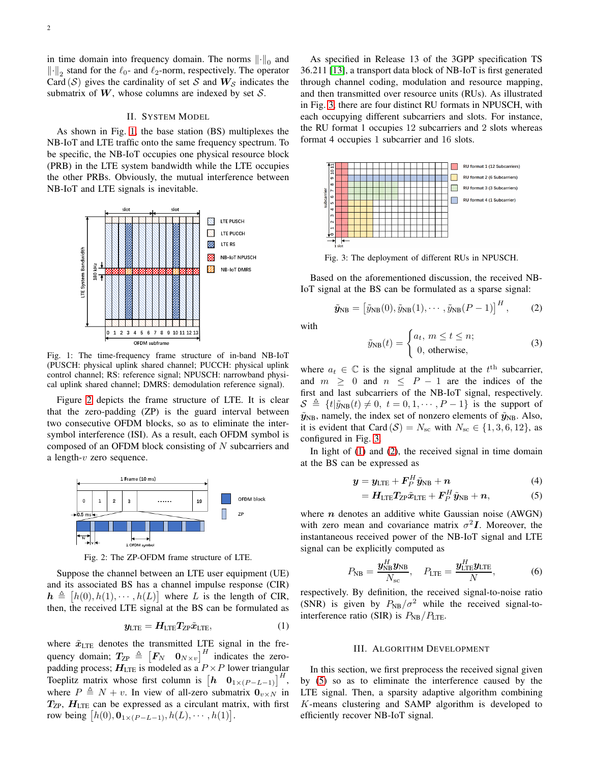in time domain into frequency domain. The norms  $\left\| \cdot \right\|_0$  and  $\left\|\cdot\right\|_2$  stand for the  $\ell_0$ - and  $\ell_2$ -norm, respectively. The operator Card  $(S)$  gives the cardinality of set S and  $W<sub>S</sub>$  indicates the submatrix of  $W$ , whose columns are indexed by set  $S$ .

## II. SYSTEM MODEL

As shown in Fig. [1,](#page-1-0) the base station (BS) multiplexes the NB-IoT and LTE traffic onto the same frequency spectrum. To be specific, the NB-IoT occupies one physical resource block (PRB) in the LTE system bandwidth while the LTE occupies the other PRBs. Obviously, the mutual interference between NB-IoT and LTE signals is inevitable.

<span id="page-1-0"></span>

Fig. 1: The time-frequency frame structure of in-band NB-IoT (PUSCH: physical uplink shared channel; PUCCH: physical uplink control channel; RS: reference signal; NPUSCH: narrowband physical uplink shared channel; DMRS: demodulation reference signal).

Figure [2](#page-1-1) depicts the frame structure of LTE. It is clear that the zero-padding (ZP) is the guard interval between two consecutive OFDM blocks, so as to eliminate the intersymbol interference (ISI). As a result, each OFDM symbol is composed of an OFDM block consisting of N subcarriers and a length- $v$  zero sequence.

<span id="page-1-1"></span>

Fig. 2: The ZP-OFDM frame structure of LTE.

Suppose the channel between an LTE user equipment (UE) and its associated BS has a channel impulse response (CIR)  $h \triangleq [h(0), h(1), \cdots, h(L)]$  where L is the length of CIR, then, the received LTE signal at the BS can be formulated as

<span id="page-1-3"></span>
$$
y_{\text{LTE}} = H_{\text{LTE}} T_{\text{ZP}} \tilde{x}_{\text{LTE}}, \tag{1}
$$

where  $\tilde{x}_{\text{LTE}}$  denotes the transmitted LTE signal in the frequency domain;  $T_{\text{ZP}} \triangleq \begin{bmatrix} F_N & 0_{N \times v} \end{bmatrix}^H$  indicates the zeropadding process;  $H_{\text{LTE}}$  is modeled as a  $P \times P$  lower triangular Toeplitz matrix whose first column is  $\begin{bmatrix} h & 0_{1 \times (P-L-1)} \end{bmatrix}^H$ , where  $P \triangleq N + v$ . In view of all-zero submatrix  $\mathbf{0}_{v \times N}$  in  $T_{\rm ZP}$ ,  $H_{\rm LTE}$  can be expressed as a circulant matrix, with first row being  $[h(0), 0_{1 \times (P-L-1)}, h(L), \cdots, h(1)].$ 

As specified in Release 13 of the 3GPP specification TS 36.211 [\[13\]](#page-4-12), a transport data block of NB-IoT is first generated through channel coding, modulation and resource mapping, and then transmitted over resource units (RUs). As illustrated in Fig. [3,](#page-1-2) there are four distinct RU formats in NPUSCH, with each occupying different subcarriers and slots. For instance, the RU format 1 occupies 12 subcarriers and 2 slots whereas format 4 occupies 1 subcarrier and 16 slots.

<span id="page-1-2"></span>

Fig. 3: The deployment of different RUs in NPUSCH.

Based on the aforementioned discussion, the received NB-IoT signal at the BS can be formulated as a sparse signal:

<span id="page-1-4"></span>
$$
\tilde{\mathbf{y}}_{\mathrm{NB}} = \left[ \tilde{y}_{\mathrm{NB}}(0), \tilde{y}_{\mathrm{NB}}(1), \cdots, \tilde{y}_{\mathrm{NB}}(P-1) \right]^H, \qquad (2)
$$

with

$$
\tilde{y}_{\text{NB}}(t) = \begin{cases} a_t, \ m \le t \le n; \\ 0, \text{ otherwise,} \end{cases}
$$
 (3)

where  $a_t \in \mathbb{C}$  is the signal amplitude at the  $t^{\text{th}}$  subcarrier, and  $m \geq 0$  and  $n \leq P-1$  are the indices of the first and last subcarriers of the NB-IoT signal, respectively.  $S \triangleq \{t | \tilde{y}_{NB}(t) \neq 0, t = 0, 1, \cdots, P-1 \}$  is the support of  $\tilde{y}_{NB}$ , namely, the index set of nonzero elements of  $\tilde{y}_{NB}$ . Also, it is evident that Card  $(S) = N_{\rm sc}$  with  $N_{\rm sc} \in \{1, 3, 6, 12\}$ , as configured in Fig. [3.](#page-1-2)

In light of [\(1\)](#page-1-3) and [\(2\)](#page-1-4), the received signal in time domain at the BS can be expressed as

$$
\boldsymbol{y} = \boldsymbol{y}_{\text{LTE}} + \boldsymbol{F}_{P}^{H} \tilde{\boldsymbol{y}}_{\text{NB}} + \boldsymbol{n}
$$
 (4)

<span id="page-1-5"></span>
$$
=H_{\text{LTE}}T_{\text{ZP}}\tilde{x}_{\text{LTE}}+F_P^H\tilde{y}_{\text{NB}}+n,\tag{5}
$$

where  $n$  denotes an additive white Gaussian noise (AWGN) with zero mean and covariance matrix  $\sigma^2 I$ . Moreover, the instantaneous received power of the NB-IoT signal and LTE signal can be explicitly computed as

$$
P_{\rm NB} = \frac{\mathbf{y}_{\rm NB}^H \mathbf{y}_{\rm NB}}{N_{\rm sc}}, \quad P_{\rm LTE} = \frac{\mathbf{y}_{\rm LTE}^H \mathbf{y}_{\rm LTE}}{N}, \tag{6}
$$

respectively. By definition, the received signal-to-noise ratio (SNR) is given by  $P_{NB}/\sigma^2$  while the received signal-tointerference ratio (SIR) is  $P_{NB}/P_{LTE}$ .

### III. ALGORITHM DEVELOPMENT

In this section, we first preprocess the received signal given by [\(5\)](#page-1-5) so as to eliminate the interference caused by the LTE signal. Then, a sparsity adaptive algorithm combining K-means clustering and SAMP algorithm is developed to efficiently recover NB-IoT signal.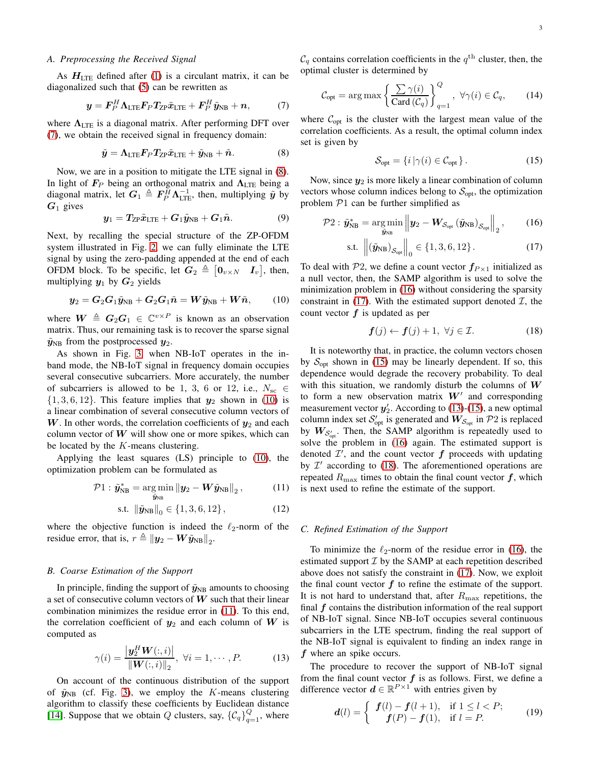## *A. Preprocessing the Received Signal*

As  $H<sub>LTE</sub>$  defined after [\(1\)](#page-1-3) is a circulant matrix, it can be diagonalized such that [\(5\)](#page-1-5) can be rewritten as

$$
\mathbf{y} = \mathbf{F}_P^H \mathbf{\Lambda}_{\text{LTE}} \mathbf{F}_P \mathbf{T}_{\text{ZP}} \tilde{\mathbf{x}}_{\text{LTE}} + \mathbf{F}_P^H \tilde{\mathbf{y}}_{\text{NB}} + \mathbf{n}, \tag{7}
$$

where  $\Lambda_{\text{LTE}}$  is a diagonal matrix. After performing DFT over [\(7\)](#page-2-0), we obtain the received signal in frequency domain:

<span id="page-2-1"></span>
$$
\tilde{\mathbf{y}} = \mathbf{\Lambda}_{\text{LTE}} \mathbf{F}_P \mathbf{T}_{\text{ZP}} \tilde{\mathbf{x}}_{\text{LTE}} + \tilde{\mathbf{y}}_{\text{NB}} + \tilde{\mathbf{n}}.
$$
 (8)

Now, we are in a position to mitigate the LTE signal in [\(8\)](#page-2-1). In light of  $\mathbf{F}_P$  being an orthogonal matrix and  $\Lambda$ <sub>LTE</sub> being a diagonal matrix, let  $G_1 \triangleq F_P^{\tilde{H}} \Lambda_{\text{LTE}}^{-1}$ , then, multiplying  $\tilde{y}$  by  $G_1$  gives

$$
\boldsymbol{y}_1 = T_{\text{ZP}} \tilde{\boldsymbol{x}}_{\text{LTE}} + \boldsymbol{G}_1 \tilde{\boldsymbol{y}}_{\text{NB}} + \boldsymbol{G}_1 \tilde{\boldsymbol{n}}. \tag{9}
$$

Next, by recalling the special structure of the ZP-OFDM system illustrated in Fig. [2,](#page-1-1) we can fully eliminate the LTE signal by using the zero-padding appended at the end of each OFDM block. To be specific, let  $G_2 \triangleq [0_{v \times N} \quad I_v]$ , then, multiplying  $y_1$  by  $G_2$  yields

$$
\mathbf{y}_2 = \mathbf{G}_2 \mathbf{G}_1 \tilde{\mathbf{y}}_{\text{NB}} + \mathbf{G}_2 \mathbf{G}_1 \tilde{\mathbf{n}} = \mathbf{W} \tilde{\mathbf{y}}_{\text{NB}} + \mathbf{W} \tilde{\mathbf{n}}, \qquad (10)
$$

where  $W \triangleq G_2 G_1 \in \mathbb{C}^{v \times P}$  is known as an observation matrix. Thus, our remaining task is to recover the sparse signal  $\tilde{y}_{\text{NB}}$  from the postprocessed  $y_2$ .

As shown in Fig. [3,](#page-1-2) when NB-IoT operates in the inband mode, the NB-IoT signal in frequency domain occupies several consecutive subcarriers. More accurately, the number of subcarriers is allowed to be 1, 3, 6 or 12, i.e.,  $N_{\rm sc} \in$  $\{1, 3, 6, 12\}$ . This feature implies that  $y_2$  shown in [\(10\)](#page-2-2) is a linear combination of several consecutive column vectors of W. In other words, the correlation coefficients of  $y_2$  and each column vector of  $W$  will show one or more spikes, which can be located by the  $K$ -means clustering.

Applying the least squares (LS) principle to [\(10\)](#page-2-2), the optimization problem can be formulated as

$$
\mathcal{P}1:\tilde{\boldsymbol{y}}_{\text{NB}}^{*}=\argmin_{\tilde{\boldsymbol{y}}_{\text{NB}}}||\boldsymbol{y}_{2}-\boldsymbol{W}\tilde{\boldsymbol{y}}_{\text{NB}}||_{2}, \qquad (11)
$$

s.t. 
$$
\|\tilde{\mathbf{y}}_{NB}\|_{0} \in \{1, 3, 6, 12\},
$$
 (12)

where the objective function is indeed the  $\ell_2$ -norm of the residue error, that is,  $r \triangleq ||y_2 - W\tilde{y}_{NB}||_2$ .

## *B. Coarse Estimation of the Support*

In principle, finding the support of  $\tilde{y}_{NB}$  amounts to choosing a set of consecutive column vectors of  $W$  such that their linear combination minimizes the residue error in [\(11\)](#page-2-3). To this end, the correlation coefficient of  $y_2$  and each column of W is computed as

<span id="page-2-7"></span>
$$
\gamma(i) = \frac{|\mathbf{y}_2^H \mathbf{W}(:,i)|}{\|\mathbf{W}(:,i)\|_2}, \ \forall i = 1, \cdots, P. \tag{13}
$$

On account of the continuous distribution of the support of  $\tilde{y}_{NB}$  (cf. Fig. [3\)](#page-1-2), we employ the K-means clustering algorithm to classify these coefficients by Euclidean distance [\[14\]](#page-4-13). Suppose that we obtain Q clusters, say,  $\{C_q\}_{q=1}^Q$ , where

 $\mathcal{C}_q$  contains correlation coefficients in the  $q^{\text{th}}$  cluster, then, the optimal cluster is determined by

<span id="page-2-9"></span>
$$
C_{\text{opt}} = \arg \max \left\{ \frac{\sum \gamma(i)}{\text{Card}(\mathcal{C}_q)} \right\}_{q=1}^Q, \ \forall \gamma(i) \in \mathcal{C}_q, \qquad (14)
$$

<span id="page-2-0"></span>where  $C_{opt}$  is the cluster with the largest mean value of the correlation coefficients. As a result, the optimal column index set is given by

<span id="page-2-6"></span><span id="page-2-5"></span><span id="page-2-4"></span>
$$
S_{\text{opt}} = \{ i \mid \gamma(i) \in C_{\text{opt}} \}.
$$
 (15)

Now, since  $y_2$  is more likely a linear combination of column vectors whose column indices belong to  $S_{\text{opt}}$ , the optimization problem P1 can be further simplified as

$$
\mathcal{P}2:\tilde{\boldsymbol{y}}_{\text{NB}}^{*}=\argmin_{\tilde{\boldsymbol{y}}_{\text{NB}}}\left\|\boldsymbol{y}_{2}-\boldsymbol{W}_{\mathcal{S}_{\text{opt}}}(\tilde{\boldsymbol{y}}_{\text{NB}})_{\mathcal{S}_{\text{opt}}}\right\|_{2},\qquad(16)
$$

s.t. 
$$
\left\|(\tilde{\mathbf{y}}_{\text{NB}})_{\mathcal{S}_{\text{opt}}}\right\|_{0} \in \{1, 3, 6, 12\}.
$$
 (17)

<span id="page-2-2"></span>To deal with P2, we define a count vector  $f_{P \times 1}$  initialized as a null vector, then, the SAMP algorithm is used to solve the minimization problem in [\(16\)](#page-2-4) without considering the sparsity constraint in [\(17\)](#page-2-5). With the estimated support denoted  $\mathcal{I}$ , the count vector  $f$  is updated as per

<span id="page-2-8"></span>
$$
\boldsymbol{f}(j) \leftarrow \boldsymbol{f}(j) + 1, \ \forall j \in \mathcal{I}.\tag{18}
$$

It is noteworthy that, in practice, the column vectors chosen by  $S_{opt}$  shown in [\(15\)](#page-2-6) may be linearly dependent. If so, this dependence would degrade the recovery probability. To deal with this situation, we randomly disturb the columns of  $W$ to form a new observation matrix  $W'$  and corresponding measurement vector  $y_2'$ . According to [\(13\)](#page-2-7)-[\(15\)](#page-2-6), a new optimal column index set  $\mathcal{S}_{\text{opt}}'$  is generated and  $\bm{W}_{\mathcal{S}_{\text{opt}}}$  in  $\mathcal{P}2$  is replaced by  $W_{\mathcal{S}'_{opt}}$ . Then, the SAMP algorithm is repeatedly used to solve the problem in [\(16\)](#page-2-4) again. The estimated support is denoted  $\mathcal{I}'$ , and the count vector  $f$  proceeds with updating by  $\mathcal{I}'$  according to [\(18\)](#page-2-8). The aforementioned operations are repeated  $R_{\text{max}}$  times to obtain the final count vector  $f$ , which is next used to refine the estimate of the support.

## <span id="page-2-3"></span>*C. Refined Estimation of the Support*

To minimize the  $\ell_2$ -norm of the residue error in [\(16\)](#page-2-4), the estimated support  $\mathcal I$  by the SAMP at each repetition described above does not satisfy the constraint in [\(17\)](#page-2-5). Now, we exploit the final count vector  $f$  to refine the estimate of the support. It is not hard to understand that, after  $R_{\text{max}}$  repetitions, the final  $f$  contains the distribution information of the real support of NB-IoT signal. Since NB-IoT occupies several continuous subcarriers in the LTE spectrum, finding the real support of the NB-IoT signal is equivalent to finding an index range in f where an spike occurs.

The procedure to recover the support of NB-IoT signal from the final count vector  $f$  is as follows. First, we define a difference vector  $d \in \mathbb{R}^{P \times 1}$  with entries given by

<span id="page-2-10"></span>
$$
d(l) = \begin{cases} f(l) - f(l+1), & \text{if } 1 \le l < P; \\ f(P) - f(1), & \text{if } l = P. \end{cases}
$$
 (19)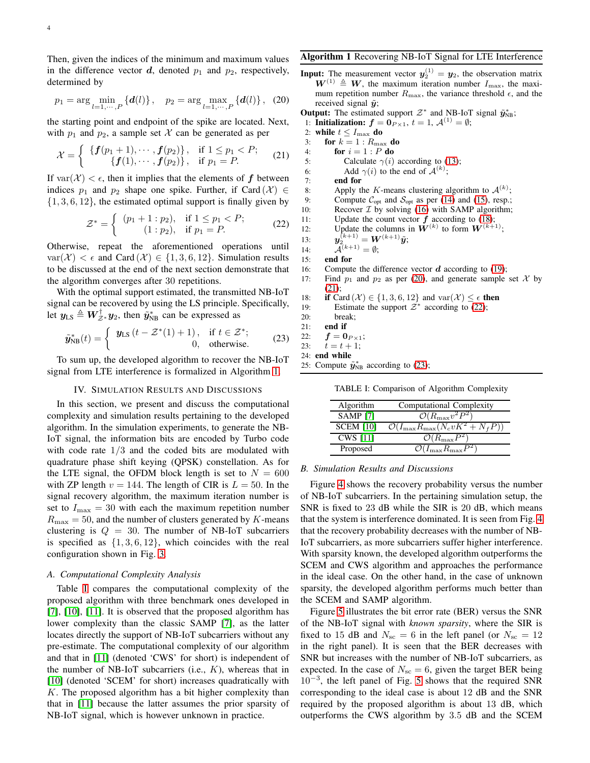Then, given the indices of the minimum and maximum values in the difference vector  $d$ , denoted  $p_1$  and  $p_2$ , respectively, determined by

$$
p_1 = \arg \min_{l=1,\dots,P} \{d(l)\}, \quad p_2 = \arg \max_{l=1,\dots,P} \{d(l)\}, \quad (20)
$$

the starting point and endpoint of the spike are located. Next, with  $p_1$  and  $p_2$ , a sample set X can be generated as per

<span id="page-3-3"></span>
$$
\mathcal{X} = \left\{ \begin{array}{ll} \{f(p_1+1), \cdots, f(p_2)\}, & \text{if } 1 \leq p_1 < P; \\ \{f(1), \cdots, f(p_2)\}, & \text{if } p_1 = P. \end{array} \right. \tag{21}
$$

If  $\text{var}(\mathcal{X}) < \epsilon$ , then it implies that the elements of f between indices  $p_1$  and  $p_2$  shape one spike. Further, if Card (X) ∈  $\{1, 3, 6, 12\}$ , the estimated optimal support is finally given by

<span id="page-3-4"></span>
$$
\mathcal{Z}^* = \begin{cases} (p_1 + 1 : p_2), & \text{if } 1 \le p_1 < P; \\ (1 : p_2), & \text{if } p_1 = P. \end{cases} \tag{22}
$$

Otherwise, repeat the aforementioned operations until  $var(\mathcal{X}) < \epsilon$  and Card  $(\mathcal{X}) \in \{1, 3, 6, 12\}$ . Simulation results to be discussed at the end of the next section demonstrate that the algorithm converges after 30 repetitions.

With the optimal support estimated, the transmitted NB-IoT signal can be recovered by using the LS principle. Specifically, let  $y_{LS} \triangleq W_{\mathcal{Z}^*}^{\dagger} y_2$ , then  $\tilde{y}_{NB}^*$  can be expressed as

<span id="page-3-5"></span>
$$
\tilde{\mathbf{y}}_{\text{NB}}^{*}(t) = \begin{cases} \mathbf{y}_{\text{LS}}\left(t - \mathcal{Z}^{*}(1) + 1\right), & \text{if } t \in \mathcal{Z}^{*}; \\ 0, & \text{otherwise.} \end{cases} \tag{23}
$$

To sum up, the developed algorithm to recover the NB-IoT signal from LTE interference is formalized in Algorithm [1.](#page-3-0)

#### IV. SIMULATION RESULTS AND DISCUSSIONS

In this section, we present and discuss the computational complexity and simulation results pertaining to the developed algorithm. In the simulation experiments, to generate the NB-IoT signal, the information bits are encoded by Turbo code with code rate  $1/3$  and the coded bits are modulated with quadrature phase shift keying (QPSK) constellation. As for the LTE signal, the OFDM block length is set to  $N = 600$ with ZP length  $v = 144$ . The length of CIR is  $L = 50$ . In the signal recovery algorithm, the maximum iteration number is set to  $I_{\text{max}} = 30$  with each the maximum repetition number  $R_{\text{max}} = 50$ , and the number of clusters generated by K-means clustering is  $Q = 30$ . The number of NB-IoT subcarriers is specified as  $\{1, 3, 6, 12\}$ , which coincides with the real configuration shown in Fig. [3.](#page-1-2)

### *A. Computational Complexity Analysis*

Table [I](#page-3-1) compares the computational complexity of the proposed algorithm with three benchmark ones developed in [\[7\]](#page-4-6), [\[10\]](#page-4-9), [\[11\]](#page-4-10). It is observed that the proposed algorithm has lower complexity than the classic SAMP [\[7\]](#page-4-6), as the latter locates directly the support of NB-IoT subcarriers without any pre-estimate. The computational complexity of our algorithm and that in [\[11\]](#page-4-10) (denoted 'CWS' for short) is independent of the number of NB-IoT subcarriers (i.e.,  $K$ ), whereas that in [\[10\]](#page-4-9) (denoted 'SCEM' for short) increases quadratically with  $K$ . The proposed algorithm has a bit higher complexity than that in [\[11\]](#page-4-10) because the latter assumes the prior sparsity of NB-IoT signal, which is however unknown in practice.

## <span id="page-3-0"></span>Algorithm 1 Recovering NB-IoT Signal for LTE Interference

**Input:** The measurement vector  $y_2^{(1)} = y_2$ , the observation matrix  $W^{(1)} \triangleq W$ , the maximum iteration number  $I_{\text{max}}$ , the maximum repetition number  $R_{\text{max}}$ , the variance threshold  $\epsilon$ , and the received signal  $\tilde{y}$ ;

<span id="page-3-2"></span>**Output:** The estimated support  $\mathcal{Z}^*$  and NB-IoT signal  $\tilde{\mathbf{y}}_{\text{NB}}^*$ ;

- 1: Initialization:  $f = 0_{P \times 1}$ ,  $t = 1$ ,  $\mathcal{A}^{(1)} = \emptyset$ ;
- 2: while  $t \leq I_{\text{max}}$  do<br>3: for  $k = 1 : R_{\text{max}}$
- for  $k = 1$  :  $R_{\rm max}$  do
- 4: for  $i = 1 : P$  do
- 5: Calculate  $\gamma(i)$  according to [\(13\)](#page-2-7);
- 6: Add  $\gamma(i)$  to the end of  $\mathcal{A}^{(k)}$ ;
- 7: end for
- 8: Apply the K-means clustering algorithm to  $A^{(k)}$ ;
- 9: Compute  $C_{opt}$  and  $S_{opt}$  as per [\(14\)](#page-2-9) and [\(15\)](#page-2-6), resp.;
- 10: Recover  $\mathcal I$  by solving [\(16\)](#page-2-4) with SAMP algorithm;
- 11: Update the count vector  $f$  according to [\(18\)](#page-2-8);

12: Update the columns in 
$$
W^{(k)}
$$
 to form  $W^{(k+1)}$ ;

$$
\boldsymbol{y}^{(k+1)}_{2,\ldots,1}\hspace{-0.1cm}=\boldsymbol{W}^{(k+1)}\tilde{\boldsymbol{y}};
$$

- $(k+1) = \emptyset;$
- 15: end for

 $13:$ 

 $14:$ 

- 16: Compute the difference vector  $d$  according to [\(19\)](#page-2-10);
- 17: Find  $p_1$  and  $p_2$  as per [\(20\)](#page-3-2), and generate sample set X by [\(21\)](#page-3-3);
- 18: **if** Card  $(\mathcal{X}) \in \{1, 3, 6, 12\}$  and  $\text{var}(\mathcal{X}) \leq \epsilon$  **then**
- 19: Estimate the support  $\overline{\mathcal{Z}}^*$  according to [\(22\)](#page-3-4);
- 20: break;

21: end if

22:  $f = 0_{P \times 1}$ ;

- 23:  $t = t + 1;$
- 24: end while
- <span id="page-3-1"></span>25: Compute  $\tilde{\mathbf{y}}_{NB}^{*}$  according to [\(23\)](#page-3-5);

TABLE I: Comparison of Algorithm Complexity

| Algorithm        | Computational Complexity                       |
|------------------|------------------------------------------------|
| <b>SAMP</b> [7]  | $\mathcal{O}(R_{\max}v^2P^2)$                  |
| <b>SCEM [10]</b> | $\mathcal{O}(I_{\max}R_{\max}(N_c vK^2+N_fP))$ |
| <b>CWS</b> [11]  | $\mathcal{O}(R_{\max}P^2)$                     |
| Proposed         | $\mathcal{O}(I_{\max}R_{\max}P^2)$             |

### *B. Simulation Results and Discussions*

Figure [4](#page-4-14) shows the recovery probability versus the number of NB-IoT subcarriers. In the pertaining simulation setup, the SNR is fixed to 23 dB while the SIR is 20 dB, which means that the system is interference dominated. It is seen from Fig. [4](#page-4-14) that the recovery probability decreases with the number of NB-IoT subcarriers, as more subcarriers suffer higher interference. With sparsity known, the developed algorithm outperforms the SCEM and CWS algorithm and approaches the performance in the ideal case. On the other hand, in the case of unknown sparsity, the developed algorithm performs much better than the SCEM and SAMP algorithm.

Figure [5](#page-4-15) illustrates the bit error rate (BER) versus the SNR of the NB-IoT signal with *known sparsity*, where the SIR is fixed to 15 dB and  $N_{\rm sc} = 6$  in the left panel (or  $N_{\rm sc} = 12$ in the right panel). It is seen that the BER decreases with SNR but increases with the number of NB-IoT subcarriers, as expected. In the case of  $N_{\rm sc} = 6$ , given the target BER being 10<sup>−</sup><sup>3</sup> , the left panel of Fig. [5](#page-4-15) shows that the required SNR corresponding to the ideal case is about 12 dB and the SNR required by the proposed algorithm is about 13 dB, which outperforms the CWS algorithm by 3.5 dB and the SCEM